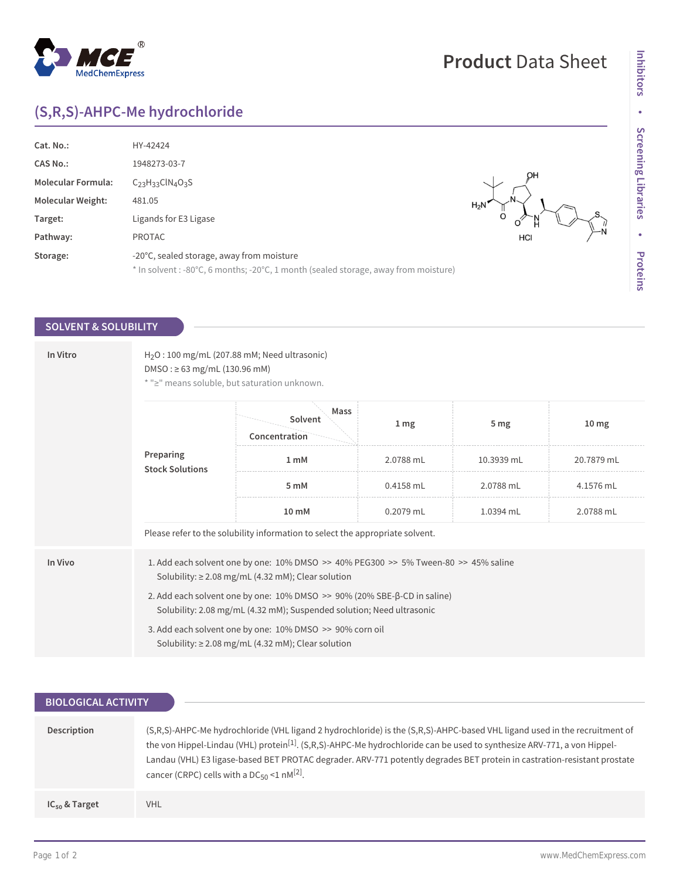## **(S,R,S)-AHPC-Me hydrochloride**

| Cat. No.:                 | HY-42424                                                                            |           |
|---------------------------|-------------------------------------------------------------------------------------|-----------|
| <b>CAS No.:</b>           | 1948273-03-7                                                                        |           |
| <b>Molecular Formula:</b> | $C_{23}H_{33}CIN_{4}O_{3}S$                                                         | OН        |
| <b>Molecular Weight:</b>  | 481.05                                                                              | $H_2N$    |
| Target:                   | Ligands for E3 Ligase                                                               |           |
| Pathway:                  | <b>PROTAC</b>                                                                       | —N<br>HCI |
| Storage:                  | -20°C, sealed storage, away from moisture                                           |           |
|                           | * In solvent : -80°C, 6 months; -20°C, 1 month (sealed storage, away from moisture) |           |

## **SOLVENT & SOLUBILITY**

| In Vitro | $H2O$ : 100 mg/mL (207.88 mM; Need ultrasonic)<br>$DMSO: \geq 63$ mg/mL (130.96 mM)<br>* ">" means soluble, but saturation unknown.                             |                                  |                 |                 |                  |  |
|----------|-----------------------------------------------------------------------------------------------------------------------------------------------------------------|----------------------------------|-----------------|-----------------|------------------|--|
|          | Preparing<br><b>Stock Solutions</b>                                                                                                                             | Mass<br>Solvent<br>Concentration | 1 <sub>mg</sub> | 5 <sub>mg</sub> | 10 <sub>mg</sub> |  |
|          |                                                                                                                                                                 | 1 <sub>mM</sub>                  | 2.0788 mL       | 10.3939 mL      | 20.7879 mL       |  |
|          |                                                                                                                                                                 | 5 mM                             | 0.4158 mL       | 2.0788 mL       | 4.1576 mL        |  |
|          |                                                                                                                                                                 | 10 mM                            | 0.2079 mL       | 1.0394 mL       | 2.0788 mL        |  |
|          | Please refer to the solubility information to select the appropriate solvent.                                                                                   |                                  |                 |                 |                  |  |
| In Vivo  | 1. Add each solvent one by one: $10\%$ DMSO $\geq$ 40% PEG300 $\geq$ 5% Tween-80 $\geq$ 45% saline<br>Solubility: $\geq$ 2.08 mg/mL (4.32 mM); Clear solution   |                                  |                 |                 |                  |  |
|          | 2. Add each solvent one by one: $10\%$ DMSO $\gg$ 90% (20% SBE- $\beta$ -CD in saline)<br>Solubility: 2.08 mg/mL (4.32 mM); Suspended solution; Need ultrasonic |                                  |                 |                 |                  |  |
|          | 3. Add each solvent one by one: 10% DMSO >> 90% corn oil<br>Solubility: $\geq$ 2.08 mg/mL (4.32 mM); Clear solution                                             |                                  |                 |                 |                  |  |

| <b>BIOLOGICAL ACTIVITY</b> |                                                                                                                                                                                                                                                                                                                                                                                                                                                 |  |  |  |
|----------------------------|-------------------------------------------------------------------------------------------------------------------------------------------------------------------------------------------------------------------------------------------------------------------------------------------------------------------------------------------------------------------------------------------------------------------------------------------------|--|--|--|
|                            |                                                                                                                                                                                                                                                                                                                                                                                                                                                 |  |  |  |
| Description                | (S,R,S)-AHPC-Me hydrochloride (VHL ligand 2 hydrochloride) is the (S,R,S)-AHPC-based VHL ligand used in the recruitment of<br>the von Hippel-Lindau (VHL) protein <sup>[1]</sup> . (S,R,S)-AHPC-Me hydrochloride can be used to synthesize ARV-771, a von Hippel-<br>Landau (VHL) E3 ligase-based BET PROTAC degrader. ARV-771 potently degrades BET protein in castration-resistant prostate<br>cancer (CRPC) cells with a $DC_{50}$ <1 nM[2]. |  |  |  |
| $IC_{50}$ & Target         | <b>VHL</b>                                                                                                                                                                                                                                                                                                                                                                                                                                      |  |  |  |